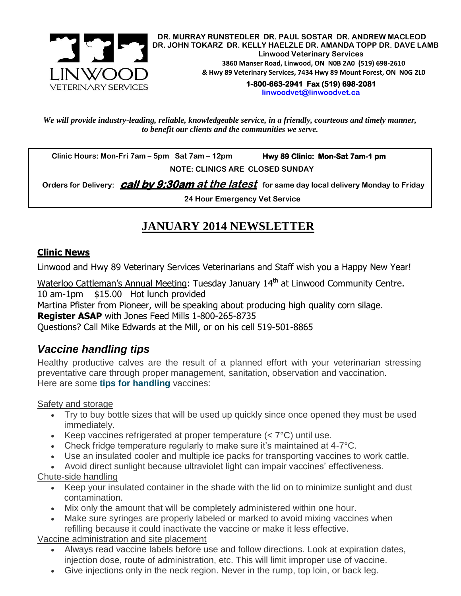

**DR. MURRAY RUNSTEDLER DR. PAUL SOSTAR DR. ANDREW MACLEOD DR. JOHN TOKARZ DR. KELLY HAELZLE DR. AMANDA TOPP DR. DAVE LAMB Linwood Veterinary Services 3860 Manser Road, Linwood, ON N0B 2A0 (519) 698-2610** *&* **Hwy 89 Veterinary Services, 7434 Hwy 89 Mount Forest, ON N0G 2L0**

**1-800-663-2941 Fax (519) 698-2081** 

**[linwoodvet@linwoodvet.ca](mailto:linwoodvet@linwoodvet.ca)**

*We will provide industry-leading, reliable, knowledgeable service, in a friendly, courteous and timely manner, to benefit our clients and the communities we serve.*

 **Clinic Hours: Mon-Fri 7am – 5pm Sat 7am – 12pm Hwy 89 Clinic: Mon-Sat 7am-1 pm**

 **NOTE: CLINICS ARE CLOSED SUNDAY**

 **Orders for Delivery: call by 9:30am at the latest for same day local delivery Monday to Friday**

**24 Hour Emergency Vet Service**

# **JANUARY 2014 NEWSLETTER**

## **Clinic News**

Linwood and Hwy 89 Veterinary Services Veterinarians and Staff wish you a Happy New Year!

Waterloo Cattleman's Annual Meeting: Tuesday January 14<sup>th</sup> at Linwood Community Centre. 10 am-1pm \$15.00 Hot lunch provided Martina Pfister from Pioneer, will be speaking about producing high quality corn silage. **Register ASAP** with Jones Feed Mills 1-800-265-8735 Questions? Call Mike Edwards at the Mill, or on his cell 519-501-8865

# *Vaccine handling tips*

Healthy productive calves are the result of a planned effort with your veterinarian stressing preventative care through proper management, sanitation, observation and vaccination. Here are some **[tips for handling](http://www.youtube.com/watch?v=lnrVHYacuWs&list=PL4510C6795FC11409&index=17)** vaccines:

#### Safety and storage

- Try to buy bottle sizes that will be used up quickly since once opened they must be used immediately.
- Exercise vaccines refrigerated at proper temperature  $( $7^{\circ}$ C)$  until use.
- Check fridge temperature regularly to make sure it's maintained at 4-7°C.
- Use an insulated cooler and multiple ice packs for transporting vaccines to work cattle.
- Avoid direct sunlight because ultraviolet light can impair vaccines' effectiveness.

### Chute-side handling

- Keep your insulated container in the shade with the lid on to minimize sunlight and dust contamination.
- Mix only the amount that will be completely administered within one hour.
- Make sure syringes are properly labeled or marked to avoid mixing vaccines when refilling because it could inactivate the vaccine or make it less effective.

Vaccine administration and site placement

- Always read vaccine labels before use and follow directions. Look at expiration dates, injection dose, route of administration, etc. This will limit improper use of vaccine.
- Give injections only in the neck region. Never in the rump, top loin, or back leg.